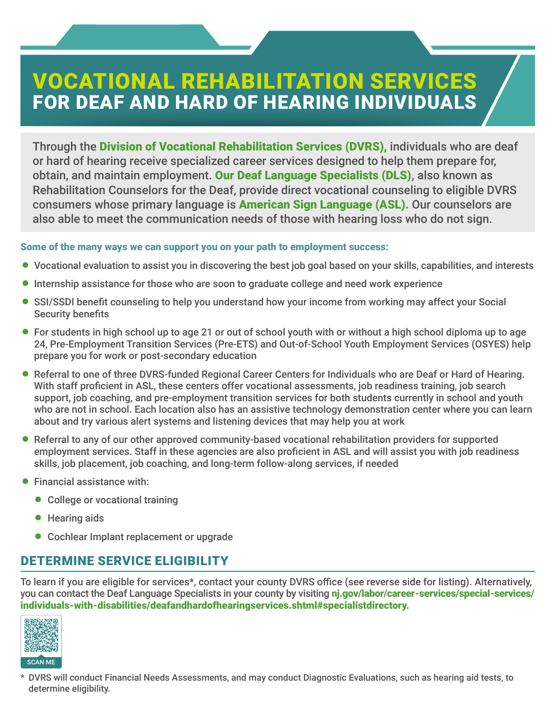# VOCATIONAL REHABILITATION SERVICES FOR DEAF AND HARD OF HEARING INDIVIDUALS

Through the Division of Vocational Rehabilitation Services (DVRS), individuals who are deaf or hard of hearing receive specialized career services designed to help them prepare for, obtain, and maintain employment. Our Deaf Language Specialists (DLS), also known as Rehabilitation Counselors for the Deaf, provide direct vocational counseling to eligible DVRS consumers whose primary language is American Sign Language (ASL). Our counselors are also able to meet the communication needs of those with hearing loss who do not sign.

# Some of the many ways we can support you on your path to employment success:

- = Vocational evaluation to assist you in discovering the best job goal based on your skills, capabilities, and interests
- Internship assistance for those who are soon to graduate college and need work experience
- SSI/SSDI benefit counseling to help you understand how your income from working may affect your Social Security benefits
- For students in high school up to age 21 or out of school youth with or without a high school diploma up to age 24, Pre-Employment Transition Services (Pre-ETS) and Out-of-School Youth Employment Services (OSYES) help prepare you for work or post-secondary education
- = Referral to one of three DVRS-funded Regional Career Centers for Individuals who are Deaf or Hard of Hearing. With staff proficient in ASL, these centers offer vocational assessments, job readiness training, job search support, job coaching, and pre-employment transition services for both students currently in school and youth who are not in school. Each location also has an assistive technology demonstration center where you can learn about and try various alert systems and listening devices that may help you at work
- Referral to any of our other approved community-based vocational rehabilitation providers for supported employment services. Staff in these agencies are also proficient in ASL and will assist you with job readiness skills, job placement, job coaching, and long-term follow-along services, if needed
- $\bullet$  Financial assistance with:
	- College or vocational training
	- **•** Hearing aids
	- Cochlear Implant replacement or upgrade

# DETERMINE SERVICE ELIGIBILITY

To learn if you are eligible for services\*, contact your county DVRS office (see reverse side for listing). Alternatively, you can contact the Deaf Language Specialists in your county by visiting ni.gov/labor/career-services/special-services/ [individuals-with-disabilities/deafandhardofhearingservices.shtml#specialistdirectory.](http://nj.gov/labor/career-services/special-services/individuals-with-disabilities/deafandhardofhearingservices.shtml#specialistdirectory) 



\* DVRS will conduct Financial Needs Assessments, and may conduct Diagnostic Evaluations, such as hearing aid tests, to determine eligibility.